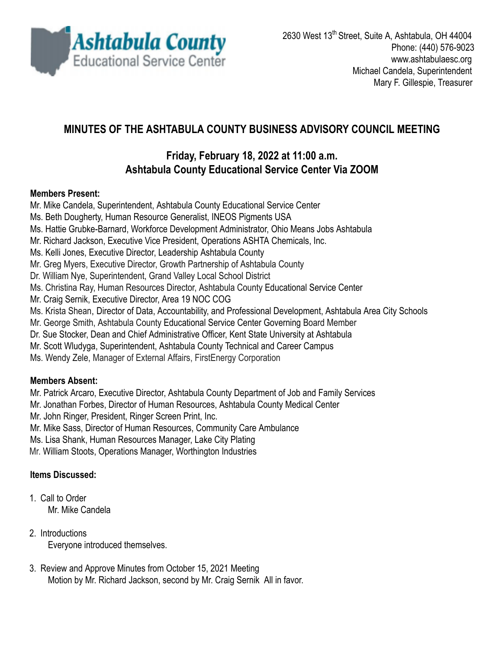

# **MINUTES OF THE ASHTABULA COUNTY BUSINESS ADVISORY COUNCIL MEETING**

## **Friday, February 18, 2022 at 11:00 a.m. Ashtabula County Educational Service Center Via ZOOM**

#### **Members Present:**

Mr. Mike Candela, Superintendent, Ashtabula County Educational Service Center Ms. Beth Dougherty, Human Resource Generalist, INEOS Pigments USA Ms. Hattie Grubke-Barnard, Workforce Development Administrator, Ohio Means Jobs Ashtabula Mr. Richard Jackson, Executive Vice President, Operations ASHTA Chemicals, Inc. Ms. Kelli Jones, Executive Director, Leadership Ashtabula County Mr. Greg Myers, Executive Director, Growth Partnership of Ashtabula County Dr. William Nye, Superintendent, Grand Valley Local School District Ms. Christina Ray, Human Resources Director, Ashtabula County Educational Service Center Mr. Craig Sernik, Executive Director, Area 19 NOC COG Ms. Krista Shean, Director of Data, Accountability, and Professional Development, Ashtabula Area City Schools Mr. George Smith, Ashtabula County Educational Service Center Governing Board Member Dr. Sue Stocker, Dean and Chief Administrative Officer, Kent State University at Ashtabula Mr. Scott Wludyga, Superintendent, Ashtabula County Technical and Career Campus Ms. Wendy Zele, Manager of External Affairs, FirstEnergy Corporation

### **Members Absent:**

Mr. Patrick Arcaro, Executive Director, Ashtabula County Department of Job and Family Services

Mr. Jonathan Forbes, Director of Human Resources, Ashtabula County Medical Center

Mr. John Ringer, President, Ringer Screen Print, Inc.

Mr. Mike Sass, Director of Human Resources, Community Care Ambulance

Ms. Lisa Shank, Human Resources Manager, Lake City Plating

Mr. William Stoots, Operations Manager, Worthington Industries

### **Items Discussed:**

1. Call to Order Mr. Mike Candela

- 2. Introductions Everyone introduced themselves.
- 3. Review and Approve Minutes from October 15, 2021 Meeting Motion by Mr. Richard Jackson, second by Mr. Craig Sernik All in favor.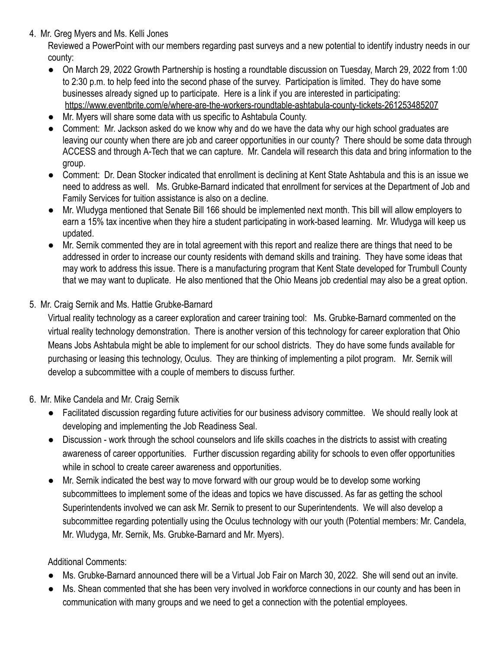4. Mr. Greg Myers and Ms. Kelli Jones

Reviewed a PowerPoint with our members regarding past surveys and a new potential to identify industry needs in our county:

- On March 29, 2022 Growth Partnership is hosting a roundtable discussion on Tuesday, March 29, 2022 from 1:00 to 2:30 p.m. to help feed into the second phase of the survey. Participation is limited. They do have some businesses already signed up to participate. Here is a link if you are interested in participating: <https://www.eventbrite.com/e/where-are-the-workers-roundtable-ashtabula-county-tickets-261253485207>
- Mr. Myers will share some data with us specific to Ashtabula County.
- Comment: Mr. Jackson asked do we know why and do we have the data why our high school graduates are leaving our county when there are job and career opportunities in our county? There should be some data through ACCESS and through A-Tech that we can capture. Mr. Candela will research this data and bring information to the group.
- Comment: Dr. Dean Stocker indicated that enrollment is declining at Kent State Ashtabula and this is an issue we need to address as well. Ms. Grubke-Barnard indicated that enrollment for services at the Department of Job and Family Services for tuition assistance is also on a decline.
- Mr. Wludyga mentioned that Senate Bill 166 should be implemented next month. This bill will allow employers to earn a 15% tax incentive when they hire a student participating in work-based learning. Mr. Wludyga will keep us updated.
- Mr. Sernik commented they are in total agreement with this report and realize there are things that need to be addressed in order to increase our county residents with demand skills and training. They have some ideas that may work to address this issue. There is a manufacturing program that Kent State developed for Trumbull County that we may want to duplicate. He also mentioned that the Ohio Means job credential may also be a great option.
- 5. Mr. Craig Sernik and Ms. Hattie Grubke-Barnard

Virtual reality technology as a career exploration and career training tool: Ms. Grubke-Barnard commented on the virtual reality technology demonstration. There is another version of this technology for career exploration that Ohio Means Jobs Ashtabula might be able to implement for our school districts. They do have some funds available for purchasing or leasing this technology, Oculus. They are thinking of implementing a pilot program. Mr. Sernik will develop a subcommittee with a couple of members to discuss further.

- 6. Mr. Mike Candela and Mr. Craig Sernik
	- Facilitated discussion regarding future activities for our business advisory committee. We should really look at developing and implementing the Job Readiness Seal.
	- Discussion work through the school counselors and life skills coaches in the districts to assist with creating awareness of career opportunities. Further discussion regarding ability for schools to even offer opportunities while in school to create career awareness and opportunities.
	- Mr. Sernik indicated the best way to move forward with our group would be to develop some working subcommittees to implement some of the ideas and topics we have discussed. As far as getting the school Superintendents involved we can ask Mr. Sernik to present to our Superintendents. We will also develop a subcommittee regarding potentially using the Oculus technology with our youth (Potential members: Mr. Candela, Mr. Wludyga, Mr. Sernik, Ms. Grubke-Barnard and Mr. Myers).

#### Additional Comments:

- Ms. Grubke-Barnard announced there will be a Virtual Job Fair on March 30, 2022. She will send out an invite.
- Ms. Shean commented that she has been very involved in workforce connections in our county and has been in communication with many groups and we need to get a connection with the potential employees.